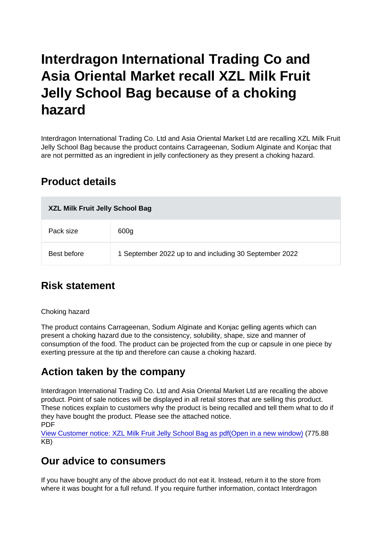# Interdragon International Trading Co and Asia Oriental Market recall XZL Milk Fruit Jelly School Bag because of a choking hazard

Interdragon International Trading Co. Ltd and Asia Oriental Market Ltd are recalling XZL Milk Fruit Jelly School Bag because the product contains Carrageenan, Sodium Alginate and Konjac that are not permitted as an ingredient in jelly confectionery as they present a choking hazard.

### Product details

| XZL Milk Fruit Jelly School Bag |                                                        |
|---------------------------------|--------------------------------------------------------|
| Pack size                       | 600g                                                   |
| Best before                     | 1 September 2022 up to and including 30 September 2022 |

## Risk statement

#### Choking hazard

The product contains Carrageenan, Sodium Alginate and Konjac gelling agents which can present a choking hazard due to the consistency, solubility, shape, size and manner of consumption of the food. The product can be projected from the cup or capsule in one piece by exerting pressure at the tip and therefore can cause a choking hazard.

### Action taken by the company

Interdragon International Trading Co. Ltd and Asia Oriental Market Ltd are recalling the above product. Point of sale notices will be displayed in all retail stores that are selling this product. These notices explain to customers why the product is being recalled and tell them what to do if they have bought the product. Please see the attached notice. PDF

[View Customer notice: XZL Milk Fruit Jelly School Bag as pdf\(Open in a new window\)](https://s3-eu-west-1.amazonaws.com/fsa-alerts-files/production/FSA-PRIN-23-2022/customer-notice-FSA-PRIN-23-2022.pdf) (775.88 KB)

### Our advice to consumers

If you have bought any of the above product do not eat it. Instead, return it to the store from where it was bought for a full refund. If you require further information, contact Interdragon